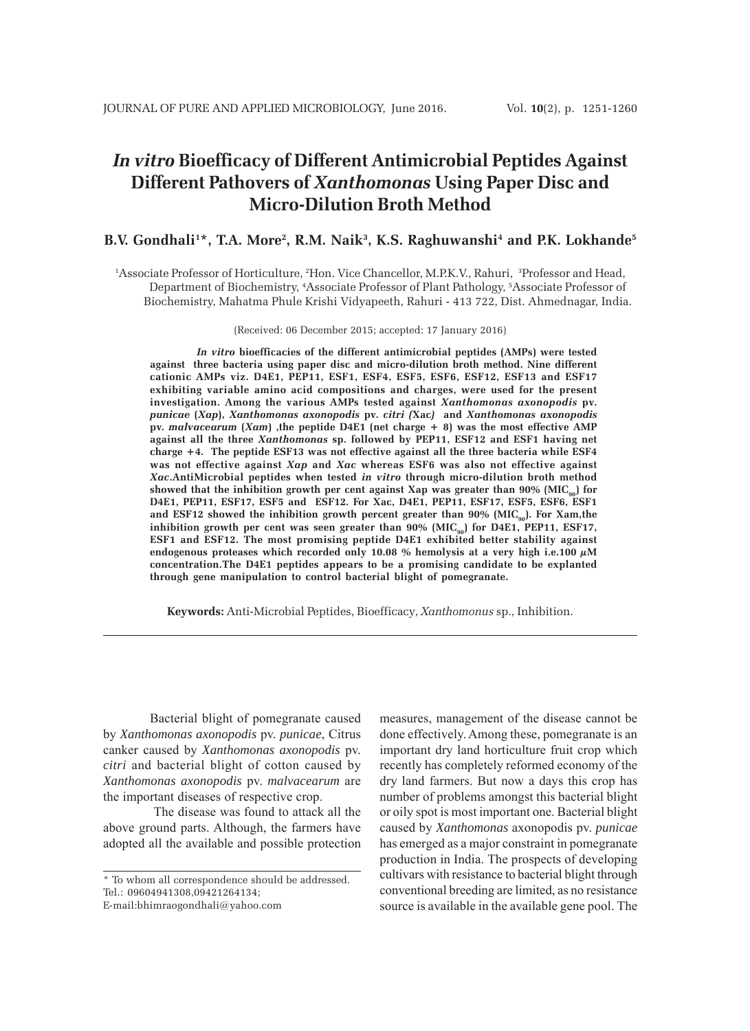# *In vitro* **Bioefficacy of Different Antimicrobial Peptides Against Different Pathovers of** *Xanthomonas* **Using Paper Disc and Micro-Dilution Broth Method**

## B.V. Gondhali<sup>1</sup>\*, T.A. More<sup>2</sup>, R.M. Naik<sup>3</sup>, K.S. Raghuwanshi<sup>4</sup> and P.K. Lokhande<sup>5</sup>

1 Associate Professor of Horticulture, 2 Hon. Vice Chancellor, M.P.K.V., Rahuri, 3 Professor and Head, Department of Biochemistry, 4 Associate Professor of Plant Pathology, 5 Associate Professor of Biochemistry, Mahatma Phule Krishi Vidyapeeth, Rahuri - 413 722, Dist. Ahmednagar, India.

(Received: 06 December 2015; accepted: 17 January 2016)

*In vitro* **bioefficacies of the different antimicrobial peptides (AMPs) were tested against three bacteria using paper disc and micro-dilution broth method. Nine different cationic AMPs viz. D4E1, PEP11, ESF1, ESF4, ESF5, ESF6, ESF12, ESF13 and ESF17 exhibiting variable amino acid compositions and charges, were used for the present investigation. Among the various AMPs tested against** *Xanthomonas axonopodis* **pv.** *punicae* **(***Xap***),** *Xanthomonas axonopodis* **pv.** *citri (***Xac***)* **and** *Xanthomonas axonopodis* **pv.** *malvacearum* **(***Xam***) ,the peptide D4E1 (net charge + 8) was the most effective AMP against all the three** *Xanthomonas* **sp. followed by PEP11, ESF12 and ESF1 having net charge +4. The peptide ESF13 was not effective against all the three bacteria while ESF4 was not effective against** *Xap* **and** *Xac* **whereas ESF6 was also not effective against** *Xac***.AntiMicrobial peptides when tested** *in vitro* **through micro-dilution broth method** showed that the inhibition growth per cent against Xap was greater than 90% (MIC<sub>90</sub>) for **D4E1, PEP11, ESF17, ESF5 and ESF12. For Xac, D4E1, PEP11, ESF17, ESF5, ESF6, ESF1** and ESF12 showed the inhibition growth percent greater than 90% (MIC<sub>90</sub>). For Xam,the inhibition growth per cent was seen greater than  $90\%$  (MIC<sub>90</sub>) for D4E1, PEP11, ESF17, **ESF1 and ESF12. The most promising peptide D4E1 exhibited better stability against endogenous proteases which recorded only 10.08 % hemolysis at a very high i.e.100 µM concentration.The D4E1 peptides appears to be a promising candidate to be explanted through gene manipulation to control bacterial blight of pomegranate.**

**Keywords:** Anti-Microbial Peptides, Bioefficacy*, Xanthomonus* sp., Inhibition.

Bacterial blight of pomegranate caused by *Xanthomonas axonopodis* pv. *punicae*, Citrus canker caused by *Xanthomonas axonopodis* pv. *citri* and bacterial blight of cotton caused by *Xanthomonas axonopodis* pv. *malvacearum* are the important diseases of respective crop.

 The disease was found to attack all the above ground parts. Although, the farmers have adopted all the available and possible protection measures, management of the disease cannot be done effectively. Among these, pomegranate is an important dry land horticulture fruit crop which recently has completely reformed economy of the dry land farmers. But now a days this crop has number of problems amongst this bacterial blight or oily spot is most important one. Bacterial blight caused by *Xanthomonas* axonopodis pv. *punicae* has emerged as a major constraint in pomegranate production in India. The prospects of developing cultivars with resistance to bacterial blight through conventional breeding are limited, as no resistance source is available in the available gene pool. The

<sup>\*</sup> To whom all correspondence should be addressed. Tel.: 09604941308,09421264134;

E-mail:bhimraogondhali@yahoo.com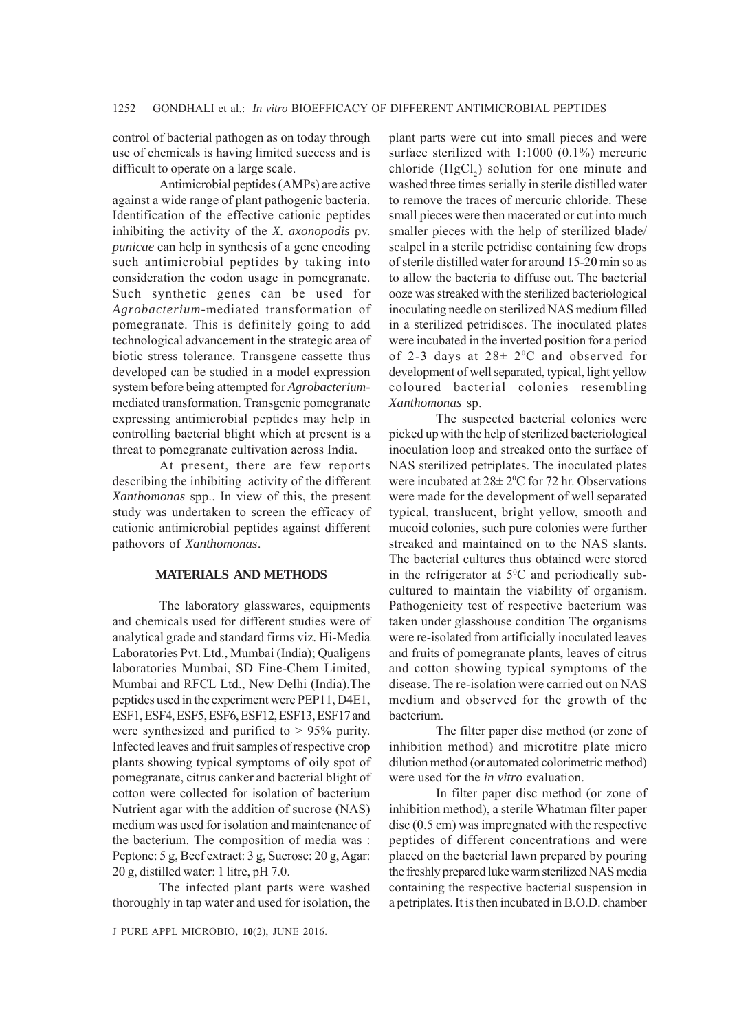control of bacterial pathogen as on today through use of chemicals is having limited success and is difficult to operate on a large scale.

Antimicrobial peptides (AMPs) are active against a wide range of plant pathogenic bacteria. Identification of the effective cationic peptides inhibiting the activity of the *X. axonopodis* pv. *punicae* can help in synthesis of a gene encoding such antimicrobial peptides by taking into consideration the codon usage in pomegranate. Such synthetic genes can be used for *Agrobacterium-*mediated transformation of pomegranate. This is definitely going to add technological advancement in the strategic area of biotic stress tolerance. Transgene cassette thus developed can be studied in a model expression system before being attempted for *Agrobacterium*mediated transformation. Transgenic pomegranate expressing antimicrobial peptides may help in controlling bacterial blight which at present is a threat to pomegranate cultivation across India.

At present, there are few reports describing the inhibiting activity of the different *Xanthomonas* spp.. In view of this, the present study was undertaken to screen the efficacy of cationic antimicrobial peptides against different pathovors of *Xanthomonas*.

### **MATERIALS AND METHODS**

The laboratory glasswares, equipments and chemicals used for different studies were of analytical grade and standard firms viz*.* Hi-Media Laboratories Pvt. Ltd., Mumbai (India); Qualigens laboratories Mumbai, SD Fine-Chem Limited, Mumbai and RFCL Ltd., New Delhi (India).The peptides used in the experiment were PEP11, D4E1, ESF1, ESF4, ESF5, ESF6, ESF12, ESF13, ESF17 and were synthesized and purified to > 95% purity. Infected leaves and fruit samples of respective crop plants showing typical symptoms of oily spot of pomegranate, citrus canker and bacterial blight of cotton were collected for isolation of bacterium Nutrient agar with the addition of sucrose (NAS) medium was used for isolation and maintenance of the bacterium. The composition of media was : Peptone: 5 g, Beef extract: 3 g, Sucrose: 20 g, Agar: 20 g, distilled water: 1 litre, pH 7.0.

The infected plant parts were washed thoroughly in tap water and used for isolation, the

plant parts were cut into small pieces and were surface sterilized with 1:1000 (0.1%) mercuric chloride  $(HgCl<sub>2</sub>)$  solution for one minute and washed three times serially in sterile distilled water to remove the traces of mercuric chloride. These small pieces were then macerated or cut into much smaller pieces with the help of sterilized blade/ scalpel in a sterile petridisc containing few drops of sterile distilled water for around 15-20 min so as to allow the bacteria to diffuse out. The bacterial ooze was streaked with the sterilized bacteriological inoculating needle on sterilized NAS medium filled in a sterilized petridisces. The inoculated plates were incubated in the inverted position for a period of 2-3 days at  $28 \pm 2^0$ C and observed for development of well separated, typical, light yellow coloured bacterial colonies resembling *Xanthomonas* sp.

The suspected bacterial colonies were picked up with the help of sterilized bacteriological inoculation loop and streaked onto the surface of NAS sterilized petriplates. The inoculated plates were incubated at  $28 \pm 2^0$ C for 72 hr. Observations were made for the development of well separated typical, translucent, bright yellow, smooth and mucoid colonies, such pure colonies were further streaked and maintained on to the NAS slants. The bacterial cultures thus obtained were stored in the refrigerator at  $5^{\circ}$ C and periodically subcultured to maintain the viability of organism. Pathogenicity test of respective bacterium was taken under glasshouse condition The organisms were re-isolated from artificially inoculated leaves and fruits of pomegranate plants, leaves of citrus and cotton showing typical symptoms of the disease. The re-isolation were carried out on NAS medium and observed for the growth of the bacterium.

The filter paper disc method (or zone of inhibition method) and microtitre plate micro dilution method (or automated colorimetric method) were used for the *in vitro* evaluation.

In filter paper disc method (or zone of inhibition method), a sterile Whatman filter paper disc (0.5 cm) was impregnated with the respective peptides of different concentrations and were placed on the bacterial lawn prepared by pouring the freshly prepared luke warm sterilized NAS media containing the respective bacterial suspension in a petriplates. It is then incubated in B.O.D. chamber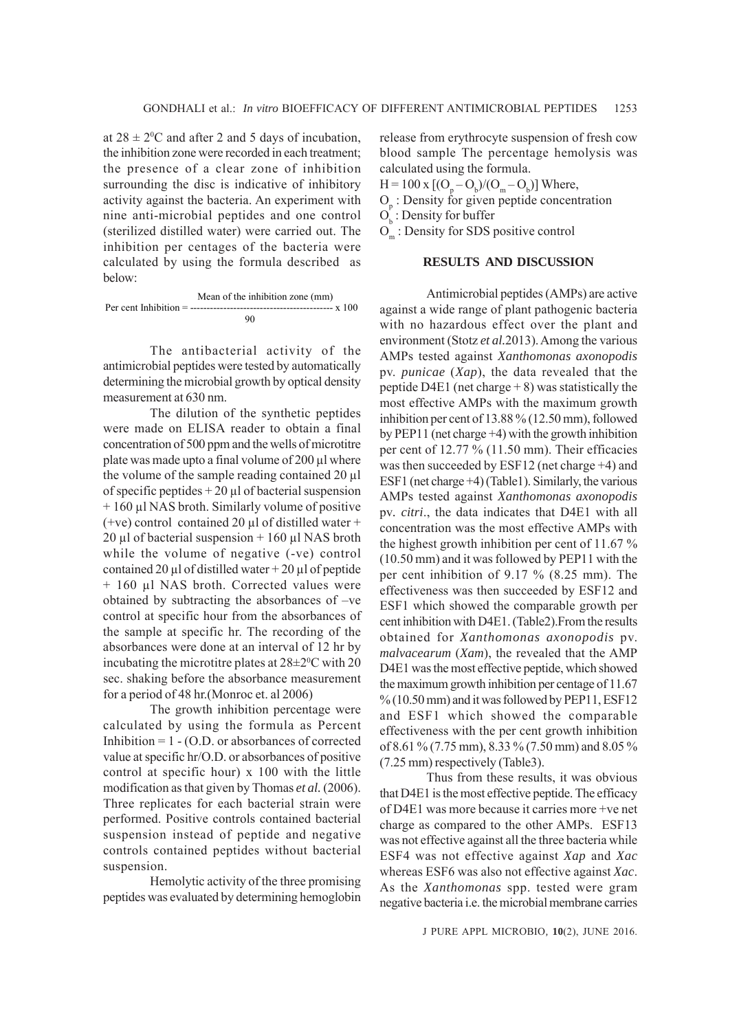at  $28 \pm 2^0$ C and after 2 and 5 days of incubation, the inhibition zone were recorded in each treatment; the presence of a clear zone of inhibition surrounding the disc is indicative of inhibitory activity against the bacteria. An experiment with nine anti-microbial peptides and one control (sterilized distilled water) were carried out. The inhibition per centages of the bacteria were calculated by using the formula described as below:

 Mean of the inhibition zone (mm) Per cent Inhibition = ------------------------------------------- x 100 90

The antibacterial activity of the antimicrobial peptides were tested by automatically determining the microbial growth by optical density measurement at 630 nm.

The dilution of the synthetic peptides were made on ELISA reader to obtain a final concentration of 500 ppm and the wells of microtitre plate was made upto a final volume of 200 μl where the volume of the sample reading contained 20 μl of specific peptides + 20 μl of bacterial suspension + 160 μl NAS broth. Similarly volume of positive (+ve) control contained 20  $\mu$ l of distilled water + 20 μl of bacterial suspension +  $160$  μl NAS broth while the volume of negative (-ve) control contained 20 μl of distilled water + 20 μl of peptide + 160 μl NAS broth. Corrected values were obtained by subtracting the absorbances of –ve control at specific hour from the absorbances of the sample at specific hr. The recording of the absorbances were done at an interval of 12 hr by incubating the microtitre plates at  $28\pm2\degree C$  with 20 sec. shaking before the absorbance measurement for a period of 48 hr.(Monroc et. al 2006)

The growth inhibition percentage were calculated by using the formula as Percent Inhibition  $= 1 - (O.D.)$  or absorbances of corrected value at specific hr/O.D. or absorbances of positive control at specific hour) x 100 with the little modification as that given by Thomas *et al.* (2006). Three replicates for each bacterial strain were performed. Positive controls contained bacterial suspension instead of peptide and negative controls contained peptides without bacterial suspension.

Hemolytic activity of the three promising peptides was evaluated by determining hemoglobin release from erythrocyte suspension of fresh cow blood sample The percentage hemolysis was calculated using the formula.

 $H = 100 \text{ x } [(O_p - O_b)/(O_m - O_b)]$  Where,

 $O_p$ : Density for given peptide concentration

 $O_b$ : Density for buffer

 $O_m$ : Density for SDS positive control

## **RESULTS AND DISCUSSION**

Antimicrobial peptides (AMPs) are active against a wide range of plant pathogenic bacteria with no hazardous effect over the plant and environment (Stotz *et al.*2013). Among the various AMPs tested against *Xanthomonas axonopodis* pv. *punicae* (*Xap*), the data revealed that the peptide D4E1 (net charge  $+ 8$ ) was statistically the most effective AMPs with the maximum growth inhibition per cent of 13.88 % (12.50 mm), followed by PEP11 (net charge +4) with the growth inhibition per cent of 12.77 % (11.50 mm). Their efficacies was then succeeded by ESF12 (net charge +4) and ESF1 (net charge +4) (Table1). Similarly, the various AMPs tested against *Xanthomonas axonopodis* pv*. citri*., the data indicates that D4E1 with all concentration was the most effective AMPs with the highest growth inhibition per cent of 11.67 % (10.50 mm) and it was followed by PEP11 with the per cent inhibition of 9.17 % (8.25 mm). The effectiveness was then succeeded by ESF12 and ESF1 which showed the comparable growth per cent inhibition with D4E1. (Table2).From the results obtained for *Xanthomonas axonopodis* pv. *malvacearum* (*Xam*), the revealed that the AMP D4E1 was the most effective peptide, which showed the maximum growth inhibition per centage of 11.67 % (10.50 mm) and it was followed by PEP11, ESF12 and ESF1 which showed the comparable effectiveness with the per cent growth inhibition of 8.61 % (7.75 mm), 8.33 % (7.50 mm) and 8.05 % (7.25 mm) respectively (Table3).

Thus from these results, it was obvious that D4E1 is the most effective peptide. The efficacy of D4E1 was more because it carries more +ve net charge as compared to the other AMPs. ESF13 was not effective against all the three bacteria while ESF4 was not effective against *Xap* and *Xac* whereas ESF6 was also not effective against *Xac*. As the *Xanthomonas* spp. tested were gram negative bacteria i.e. the microbial membrane carries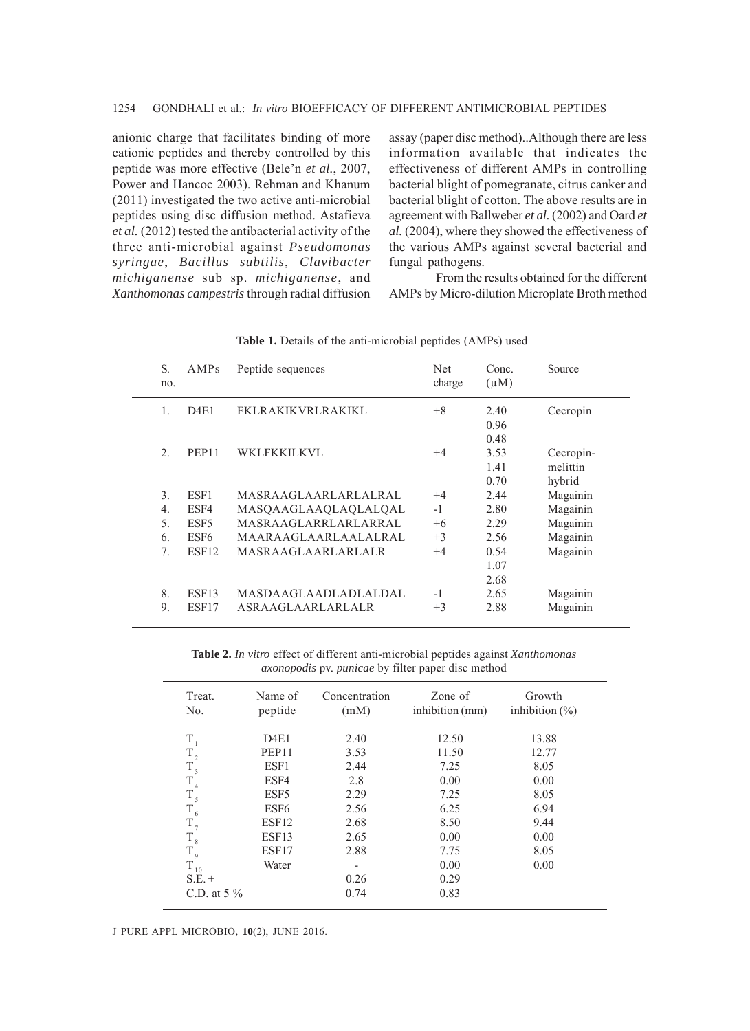anionic charge that facilitates binding of more cationic peptides and thereby controlled by this peptide was more effective (Bele'n *et al.*, 2007, Power and Hancoc 2003). Rehman and Khanum (2011) investigated the two active anti-microbial peptides using disc diffusion method. Astafieva *et al.* (2012) tested the antibacterial activity of the three anti-microbial against *Pseudomonas syringae*, *Bacillus subtilis*, *Clavibacter michiganense* sub sp. *michiganense*, and *Xanthomonas campestris* through radial diffusion

assay (paper disc method)..Although there are less information available that indicates the effectiveness of different AMPs in controlling bacterial blight of pomegranate, citrus canker and bacterial blight of cotton. The above results are in agreement with Ballweber *et al.* (2002) and Oard *et al.* (2004), where they showed the effectiveness of the various AMPs against several bacterial and fungal pathogens.

From the results obtained for the different AMPs by Micro-dilution Microplate Broth method

| S.<br>no.        | AMPs              | Peptide sequences           | Net<br>charge | Conc.<br>$(\mu M)$           | Source                          |
|------------------|-------------------|-----------------------------|---------------|------------------------------|---------------------------------|
| $\mathbf{1}$ .   | D4E1              | FKLRAKIKVRLRAKIKL           | $+8$          | 2.40<br>0.96                 | Cecropin                        |
| $\overline{2}$   | PEP <sub>11</sub> | <b>WKLFKKILKVL</b>          | $+4$          | 0.48<br>3.53<br>1.41<br>0.70 | Cecropin-<br>melittin<br>hybrid |
| 3.               | ESF1              | MASRAAGLAARLARLALRAL        | $+4$          | 2.44                         | Magainin                        |
| $\overline{4}$ . | ESF4              | MASQAAGLAAQLAQLALQAL        | $-1$          | 2.80                         | Magainin                        |
| 5.               | ESF <sub>5</sub>  | <b>MASRAAGLARRLARLARRAL</b> | $+6$          | 2.29                         | Magainin                        |
| 6.               | ESF <sub>6</sub>  | MAARAAGLAARLAALALRAL        | $+3$          | 2.56                         | Magainin                        |
| 7 <sub>1</sub>   | ESF <sub>12</sub> | <b>MASRAAGLAARLARLALR</b>   | $+4$          | 0.54<br>1.07<br>2.68         | Magainin                        |
| 8.               | ESF <sub>13</sub> | MASDAAGLAADLADLALDAL        | $-1$          | 2.65                         | Magainin                        |
| 9.               | ESF17             | ASRAAGLAARLARLALR           | $+3$          | 2.88                         | Magainin                        |
|                  |                   |                             |               |                              |                                 |

Table 1. Details of the anti-microbial peptides (AMPs) used

**Table 2.** *In vitro* effect of different anti-microbial peptides against *Xanthomonas axonopodis* pv. *punicae* by filter paper disc method

| Treat.<br>No.       | Name of<br>peptide | Concentration<br>(mM) | Zone of<br>inhibition (mm) | Growth<br>inhibition $(\% )$ |
|---------------------|--------------------|-----------------------|----------------------------|------------------------------|
| T                   | D4E1               | 2.40                  | 12.50                      | 13.88                        |
| $T_{2}$             | PEP11              | 3.53                  | 11.50                      | 12.77                        |
| $\rm T$ $_{3}$      | ESF1               | 2.44                  | 7.25                       | 8.05                         |
| T<br>$\overline{4}$ | ESF4               | 2.8                   | 0.00                       | 0.00                         |
| $T_{\rm 5}$         | ESF5               | 2.29                  | 7.25                       | 8.05                         |
| $T_{6}$             | ESF <sub>6</sub>   | 2.56                  | 6.25                       | 6.94                         |
| $T_{7}$             | ESF <sub>12</sub>  | 2.68                  | 8.50                       | 9.44                         |
| $T_{\rm 8}$         | ESF <sub>13</sub>  | 2.65                  | 0.00                       | 0.00                         |
| $T_{9}$             | ESF17              | 2.88                  | 7.75                       | 8.05                         |
| T<br>10             | Water              | -                     | 0.00                       | 0.00                         |
| $S.E. +$            |                    | 0.26                  | 0.29                       |                              |
| C.D. at $5\%$       |                    | 0.74                  | 0.83                       |                              |

J PURE APPL MICROBIO*,* **10**(2), JUNE 2016.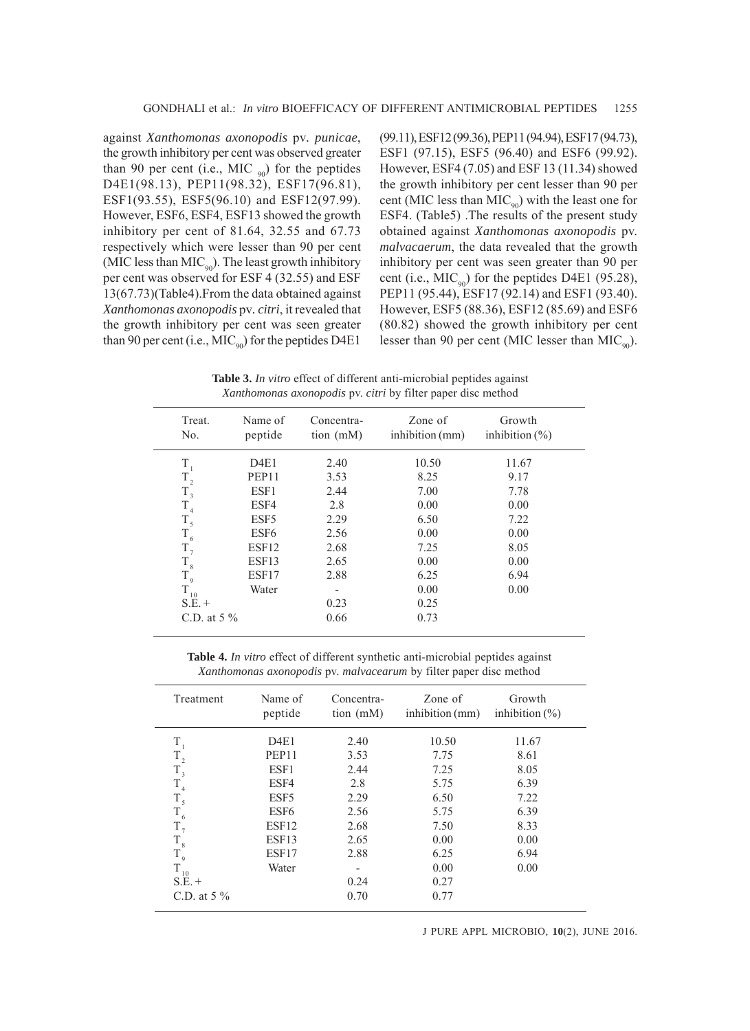against *Xanthomonas axonopodis* pv*. punicae*, the growth inhibitory per cent was observed greater than 90 per cent (i.e., MIC  $_{90}$ ) for the peptides D4E1(98.13), PEP11(98.32), ESF17(96.81), ESF1(93.55), ESF5(96.10) and ESF12(97.99). However, ESF6, ESF4, ESF13 showed the growth inhibitory per cent of 81.64, 32.55 and 67.73 respectively which were lesser than 90 per cent (MIC less than  $MIC_{90}$ ). The least growth inhibitory per cent was observed for ESF 4 (32.55) and ESF 13(67.73)(Table4).From the data obtained against *Xanthomonas axonopodis* pv*. citri*, it revealed that the growth inhibitory per cent was seen greater than 90 per cent (i.e.,  $MIC_{90}$ ) for the peptides D4E1

(99.11), ESF12 (99.36), PEP11 (94.94), ESF17 (94.73), ESF1 (97.15), ESF5 (96.40) and ESF6 (99.92). However, ESF4 (7.05) and ESF 13 (11.34) showed the growth inhibitory per cent lesser than 90 per cent (MIC less than  $MIC<sub>90</sub>$ ) with the least one for ESF4. (Table5) .The results of the present study obtained against *Xanthomonas axonopodis* pv. *malvacaerum*, the data revealed that the growth inhibitory per cent was seen greater than 90 per cent (i.e.,  $MIC_{90}$ ) for the peptides D4E1 (95.28), PEP11 (95.44), ESF17 (92.14) and ESF1 (93.40). However, ESF5 (88.36), ESF12 (85.69) and ESF6 (80.82) showed the growth inhibitory per cent lesser than 90 per cent (MIC lesser than  $MIC_{q0}$ ).

**Table 3.** *In vitro* effect of different anti-microbial peptides against *Xanthomonas axonopodis* pv. *citri* by filter paper disc method

| Treat.<br>No.       | Name of<br>peptide | Concentra-<br>tion $(mM)$ | Zone of<br>inhibition (mm) | Growth<br>inhibition $(\% )$ |
|---------------------|--------------------|---------------------------|----------------------------|------------------------------|
| $T_{1}$             | D4E1               | 2.40                      | 10.50                      | 11.67                        |
| $\rm T_{_2}$        | PEP <sub>11</sub>  | 3.53                      | 8.25                       | 9.17                         |
| $\rm T$ $_{3}$      | ESF1               | 2.44                      | 7.00                       | 7.78                         |
| $T_{4}$             | ESF4               | 2.8                       | 0.00                       | 0.00                         |
| $T_{5}$             | ESF <sub>5</sub>   | 2.29                      | 6.50                       | 7.22                         |
| $\mathrm{T_{_{6}}}$ | ESF <sub>6</sub>   | 2.56                      | 0.00                       | 0.00                         |
| $T_{7}$             | ESF12              | 2.68                      | 7.25                       | 8.05                         |
| $\rm T_{\,s}$       | ESF13              | 2.65                      | 0.00                       | 0.00                         |
| $T_{9}$             | ESF17              | 2.88                      | 6.25                       | 6.94                         |
| T<br>10             | Water              | -                         | 0.00                       | 0.00                         |
| $S.E. +$            |                    | 0.23                      | 0.25                       |                              |
| C.D. at $5\%$       |                    | 0.66                      | 0.73                       |                              |
|                     |                    |                           |                            |                              |

**Table 4.** *In vitro* effect of different synthetic anti-microbial peptides against *Xanthomonas axonopodis* pv. *malvacearum* by filter paper disc method

| Treatment       | Name of<br>peptide | Concentra-<br>tion (mM)  | Zone of<br>inhibition (mm) | Growth<br>inhibition $(\% )$ |
|-----------------|--------------------|--------------------------|----------------------------|------------------------------|
| T               | D4E1               | 2.40                     | 10.50                      | 11.67                        |
| $\rm T_{_2}$    | PEP11              | 3.53                     | 7.75                       | 8.61                         |
| $T_{3}$         | ESF1               | 2.44                     | 7.25                       | 8.05                         |
| T               | ESF4               | 2.8                      | 5.75                       | 6.39                         |
| $\rm T_{_5}$    | ESF <sub>5</sub>   | 2.29                     | 6.50                       | 7.22                         |
| $\rm T_{\rm 6}$ | ESF <sub>6</sub>   | 2.56                     | 5.75                       | 6.39                         |
| $T_{7}$         | ESF12              | 2.68                     | 7.50                       | 8.33                         |
| $\rm T_{\rm 8}$ | ESF13              | 2.65                     | 0.00                       | 0.00                         |
| $\rm T_{\rm 9}$ | ESF17              | 2.88                     | 6.25                       | 6.94                         |
| T<br>10         | Water              | $\overline{\phantom{0}}$ | 0.00                       | 0.00                         |
| $S.E. +$        |                    | 0.24                     | 0.27                       |                              |
| C.D. at $5\%$   |                    | 0.70                     | 0.77                       |                              |
|                 |                    |                          |                            |                              |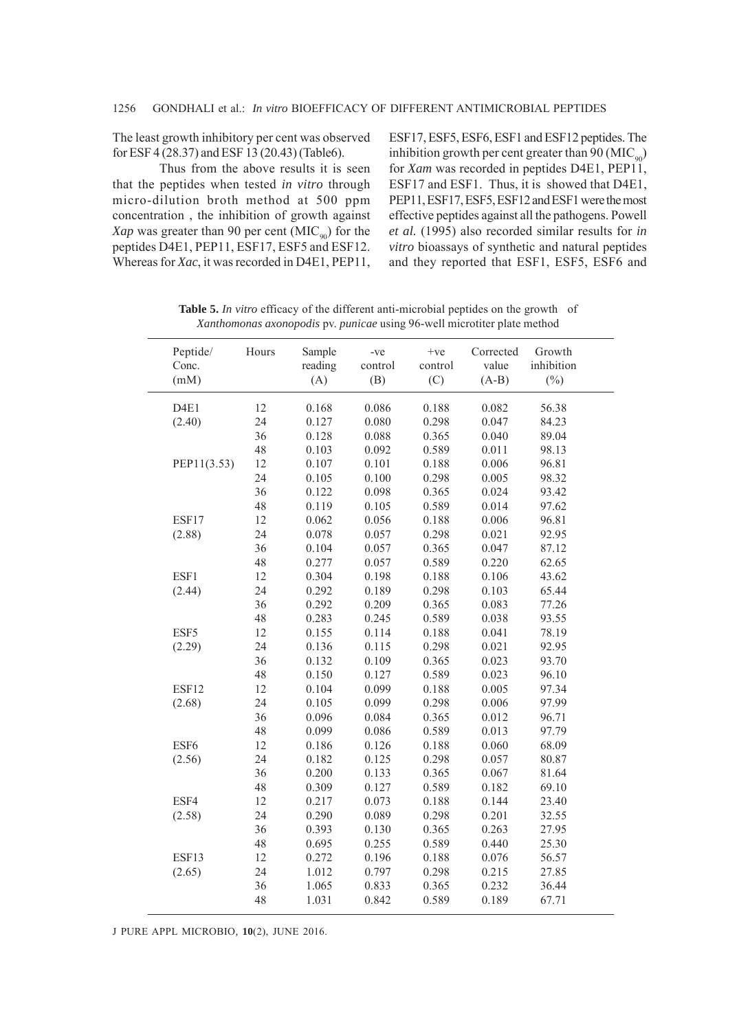The least growth inhibitory per cent was observed for ESF 4 (28.37) and ESF 13 (20.43) (Table6).

Thus from the above results it is seen that the peptides when tested *in vitro* through micro-dilution broth method at 500 ppm concentration , the inhibition of growth against *Xap* was greater than 90 per cent  $(MIC_{q0})$  for the peptides D4E1, PEP11, ESF17, ESF5 and ESF12. Whereas for *Xac*, it was recorded in D4E1, PEP11,

ESF17, ESF5, ESF6, ESF1 and ESF12 peptides. The inhibition growth per cent greater than 90 ( $\text{MIC}_{\text{oo}}$ ) for *Xam* was recorded in peptides D4E1, PEP11, ESF17 and ESF1. Thus, it is showed that D4E1, PEP11, ESF17, ESF5, ESF12 and ESF1 were the most effective peptides against all the pathogens. Powell *et al.* (1995) also recorded similar results for *in vitro* bioassays of synthetic and natural peptides and they reported that ESF1, ESF5, ESF6 and

| Peptide/<br>Conc.<br>(mM) | Hours | Sample<br>reading<br>(A) | -ve<br>control<br>(B) | $+ve$<br>control<br>(C) | Corrected<br>value<br>$(A-B)$ | Growth<br>inhibition<br>$(\%)$ |  |
|---------------------------|-------|--------------------------|-----------------------|-------------------------|-------------------------------|--------------------------------|--|
|                           |       |                          |                       |                         |                               |                                |  |
| D4E1                      | 12    | 0.168                    | 0.086                 | 0.188                   | 0.082                         | 56.38                          |  |
| (2.40)                    | 24    | 0.127                    | 0.080                 | 0.298                   | 0.047                         | 84.23                          |  |
|                           | 36    | 0.128                    | 0.088                 | 0.365                   | 0.040                         | 89.04                          |  |
|                           | 48    | 0.103                    | 0.092                 | 0.589                   | 0.011                         | 98.13                          |  |
| PEP11(3.53)               | 12    | 0.107                    | 0.101                 | 0.188                   | 0.006                         | 96.81                          |  |
|                           | 24    | 0.105                    | 0.100                 | 0.298                   | 0.005                         | 98.32                          |  |
|                           | 36    | 0.122                    | 0.098                 | 0.365                   | 0.024                         | 93.42                          |  |
|                           | 48    | 0.119                    | 0.105                 | 0.589                   | 0.014                         | 97.62                          |  |
| ESF17                     | 12    | 0.062                    | 0.056                 | 0.188                   | 0.006                         | 96.81                          |  |
| (2.88)                    | 24    | 0.078                    | 0.057                 | 0.298                   | 0.021                         | 92.95                          |  |
|                           | 36    | 0.104                    | 0.057                 | 0.365                   | 0.047                         | 87.12                          |  |
|                           | 48    | 0.277                    | 0.057                 | 0.589                   | 0.220                         | 62.65                          |  |
| ESF1                      | 12    | 0.304                    | 0.198                 | 0.188                   | 0.106                         | 43.62                          |  |
| (2.44)                    | 24    | 0.292                    | 0.189                 | 0.298                   | 0.103                         | 65.44                          |  |
|                           | 36    | 0.292                    | 0.209                 | 0.365                   | 0.083                         | 77.26                          |  |
|                           | 48    | 0.283                    | 0.245                 | 0.589                   | 0.038                         | 93.55                          |  |
| ESF5                      | 12    | 0.155                    | 0.114                 | 0.188                   | 0.041                         | 78.19                          |  |
| (2.29)                    | 24    | 0.136                    | 0.115                 | 0.298                   | 0.021                         | 92.95                          |  |
|                           | 36    | 0.132                    | 0.109                 | 0.365                   | 0.023                         | 93.70                          |  |
|                           | 48    | 0.150                    | 0.127                 | 0.589                   | 0.023                         | 96.10                          |  |
| ESF12                     | 12    | 0.104                    | 0.099                 | 0.188                   | 0.005                         | 97.34                          |  |
| (2.68)                    | 24    | 0.105                    | 0.099                 | 0.298                   | 0.006                         | 97.99                          |  |
|                           | 36    | 0.096                    | 0.084                 | 0.365                   | 0.012                         | 96.71                          |  |
|                           | 48    | 0.099                    | 0.086                 | 0.589                   | 0.013                         | 97.79                          |  |
| ESF6                      | 12    | 0.186                    | 0.126                 | 0.188                   | 0.060                         | 68.09                          |  |
| (2.56)                    | 24    | 0.182                    | 0.125                 | 0.298                   | 0.057                         | 80.87                          |  |
|                           | 36    | 0.200                    | 0.133                 | 0.365                   | 0.067                         | 81.64                          |  |
|                           | 48    | 0.309                    | 0.127                 | 0.589                   | 0.182                         | 69.10                          |  |
| ESF4                      | 12    | 0.217                    | 0.073                 | 0.188                   | 0.144                         | 23.40                          |  |
| (2.58)                    | 24    | 0.290                    | 0.089                 | 0.298                   | 0.201                         | 32.55                          |  |
|                           | 36    | 0.393                    | 0.130                 | 0.365                   | 0.263                         | 27.95                          |  |
|                           | 48    | 0.695                    | 0.255                 | 0.589                   | 0.440                         | 25.30                          |  |
| ESF13                     | 12    | 0.272                    | 0.196                 | 0.188                   | 0.076                         | 56.57                          |  |
| (2.65)                    | 24    | 1.012                    | 0.797                 | 0.298                   | 0.215                         | 27.85                          |  |
|                           | 36    | 1.065                    | 0.833                 | 0.365                   | 0.232                         | 36.44                          |  |
|                           | 48    | 1.031                    | 0.842                 | 0.589                   | 0.189                         | 67.71                          |  |
|                           |       |                          |                       |                         |                               |                                |  |

**Table 5.** *In vitro* efficacy of the different anti-microbial peptides on the growth of *Xanthomonas axonopodis* pv. *punicae* using 96-well microtiter plate method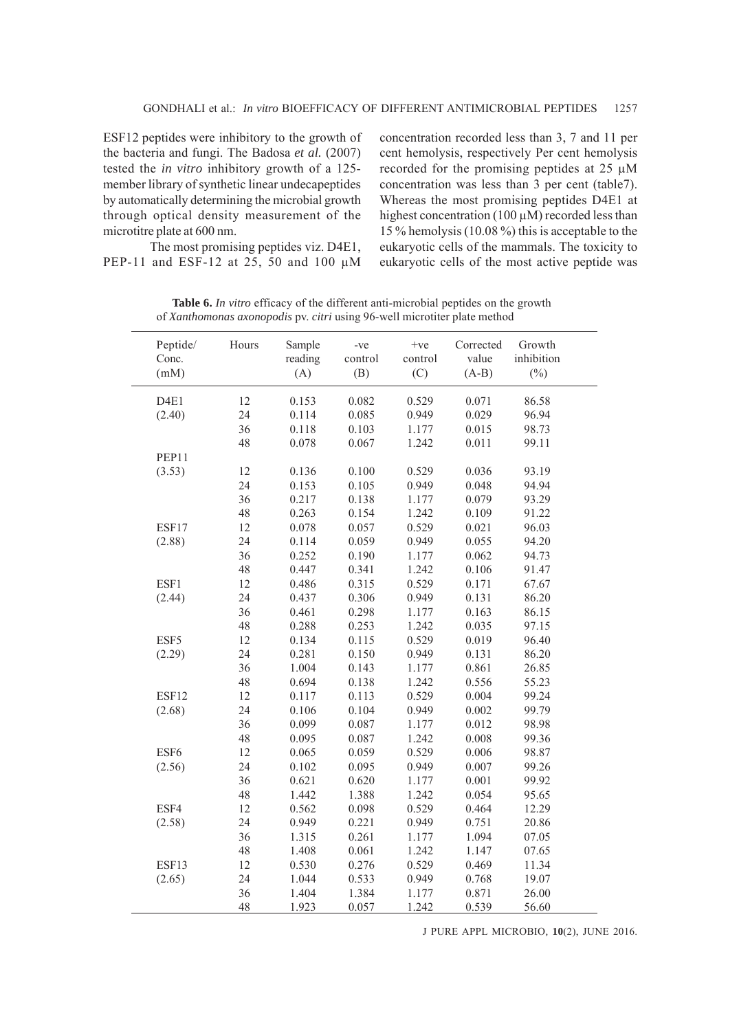ESF12 peptides were inhibitory to the growth of the bacteria and fungi. The Badosa *et al.* (2007) tested the *in vitro* inhibitory growth of a 125 member library of synthetic linear undecapeptides by automatically determining the microbial growth through optical density measurement of the microtitre plate at 600 nm.

concentration recorded less than 3, 7 and 11 per cent hemolysis, respectively Per cent hemolysis recorded for the promising peptides at 25 μM concentration was less than 3 per cent (table7). Whereas the most promising peptides D4E1 at highest concentration (100  $\mu$ M) recorded less than 15 % hemolysis (10.08 %) this is acceptable to the eukaryotic cells of the mammals. The toxicity to eukaryotic cells of the most active peptide was

The most promising peptides viz. D4E1, PEP-11 and ESF-12 at 25, 50 and 100 μM

**Table 6.** *In vitro* efficacy of the different anti-microbial peptides on the growth of *Xanthomonas axonopodis* pv. *citri* using 96-well microtiter plate method

| Peptide/<br>Conc.<br>(mM) | Hours  | Sample<br>reading<br>(A) | -ve<br>control<br>(B) | $+ve$<br>control<br>(C) | Corrected<br>value<br>$(A-B)$ | Growth<br>inhibition<br>$(\%)$ |
|---------------------------|--------|--------------------------|-----------------------|-------------------------|-------------------------------|--------------------------------|
| D <sub>4E1</sub>          | 12     | 0.153                    | 0.082                 | 0.529                   | 0.071                         | 86.58                          |
| (2.40)                    | 24     | 0.114                    | 0.085                 | 0.949                   | 0.029                         | 96.94                          |
|                           | 36     | 0.118                    | 0.103                 | 1.177                   | 0.015                         | 98.73                          |
|                           | 48     | 0.078                    | 0.067                 | 1.242                   | 0.011                         | 99.11                          |
| PEP11                     |        |                          |                       |                         |                               |                                |
| (3.53)                    | 12     | 0.136                    | 0.100                 | 0.529                   | 0.036                         | 93.19                          |
|                           | 24     | 0.153                    | 0.105                 | 0.949                   | 0.048                         | 94.94                          |
|                           | 36     | 0.217                    | 0.138                 | 1.177                   | 0.079                         | 93.29                          |
|                           | 48     | 0.263                    | 0.154                 | 1.242                   | 0.109                         | 91.22                          |
| ESF17                     | 12     | 0.078                    | 0.057                 | 0.529                   | 0.021                         | 96.03                          |
| (2.88)                    | 24     | 0.114                    | 0.059                 | 0.949                   | 0.055                         | 94.20                          |
|                           | 36     | 0.252                    | 0.190                 | 1.177                   | 0.062                         | 94.73                          |
|                           | 48     | 0.447                    | 0.341                 | 1.242                   | 0.106                         | 91.47                          |
| ESF1                      | 12     | 0.486                    | 0.315                 | 0.529                   | 0.171                         | 67.67                          |
| (2.44)                    | 24     | 0.437                    | 0.306                 | 0.949                   | 0.131                         | 86.20                          |
|                           | 36     | 0.461                    | 0.298                 | 1.177                   | 0.163                         | 86.15                          |
|                           | 48     | 0.288                    | 0.253                 | 1.242                   | 0.035                         | 97.15                          |
| ESF5                      | 12     | 0.134                    | 0.115                 | 0.529                   | 0.019                         | 96.40                          |
| (2.29)                    | 24     | 0.281                    | 0.150                 | 0.949                   | 0.131                         | 86.20                          |
|                           | 36     | 1.004                    | 0.143                 | 1.177                   | 0.861                         | 26.85                          |
|                           | 48     | 0.694                    | 0.138                 | 1.242                   | 0.556                         | 55.23                          |
| ESF12                     | 12     | 0.117                    | 0.113                 | 0.529                   | 0.004                         | 99.24                          |
| (2.68)                    | 24     | 0.106                    | 0.104                 | 0.949                   | 0.002                         | 99.79                          |
|                           | 36     | 0.099                    | 0.087                 | 1.177                   | 0.012                         | 98.98                          |
|                           | 48     | 0.095                    | 0.087                 | 1.242                   | 0.008                         | 99.36                          |
| ESF6                      | 12     | 0.065                    | 0.059                 | 0.529                   | 0.006                         | 98.87                          |
| (2.56)                    | 24     | 0.102                    | 0.095                 | 0.949                   | 0.007                         | 99.26                          |
|                           | 36     | 0.621                    | 0.620                 | 1.177                   | 0.001                         | 99.92                          |
|                           | 48     | 1.442                    | 1.388                 | 1.242                   | 0.054                         | 95.65                          |
| ESF4                      | 12     | 0.562                    | 0.098                 | 0.529                   | 0.464                         | 12.29                          |
| (2.58)                    | 24     | 0.949                    | 0.221                 | 0.949                   | 0.751                         | 20.86                          |
|                           | 36     | 1.315                    | 0.261                 | 1.177                   | 1.094                         | 07.05                          |
|                           | 48     | 1.408                    | 0.061                 | 1.242                   | 1.147                         | 07.65                          |
| ESF13                     | $12\,$ | 0.530                    | 0.276                 | 0.529                   | 0.469                         | 11.34                          |
| (2.65)                    | 24     | 1.044                    | 0.533                 | 0.949                   | 0.768                         | 19.07                          |
|                           | 36     | 1.404                    | 1.384                 | 1.177                   | 0.871                         | 26.00                          |
|                           | 48     | 1.923                    | 0.057                 | 1.242                   | 0.539                         | 56.60                          |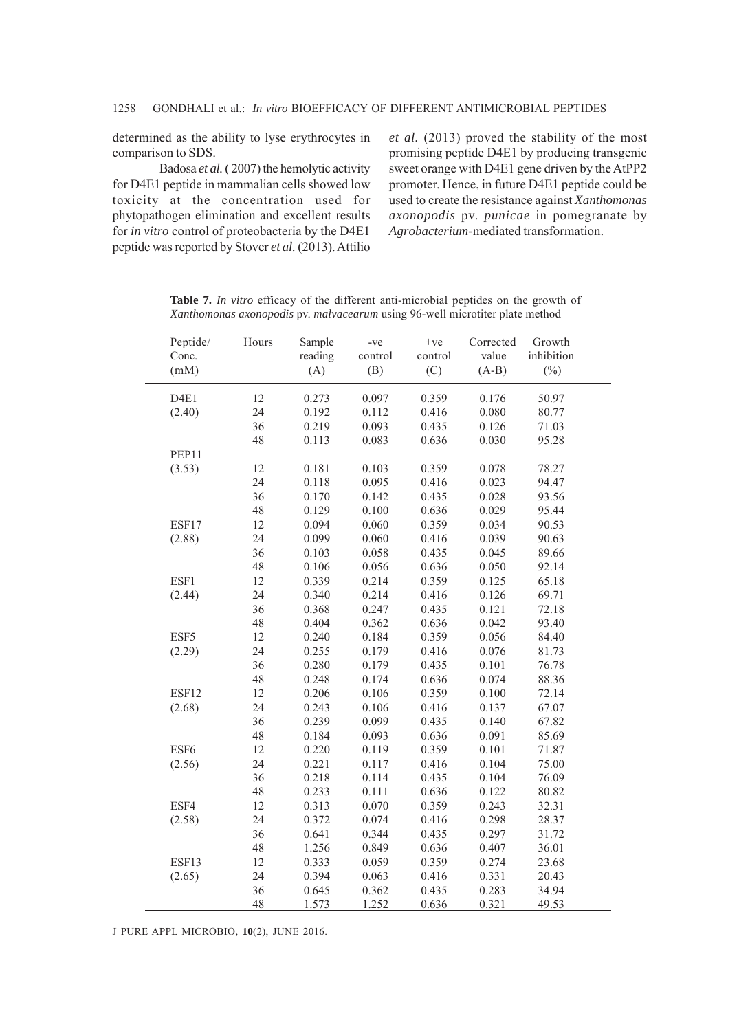determined as the ability to lyse erythrocytes in comparison to SDS.

Badosa *et al.* ( 2007) the hemolytic activity for D4E1 peptide in mammalian cells showed low toxicity at the concentration used for phytopathogen elimination and excellent results for *in vitro* control of proteobacteria by the D4E1 peptide was reported by Stover *et al.* (2013). Attilio *et al.* (2013) proved the stability of the most promising peptide D4E1 by producing transgenic sweet orange with D4E1 gene driven by the AtPP2 promoter. Hence, in future D4E1 peptide could be used to create the resistance against *Xanthomonas axonopodis* pv. *punicae* in pomegranate by *Agrobacterium-*mediated transformation.

| Peptide/         | Hours | Sample  | -ve     | $+v$ e  | Corrected | Growth     |  |
|------------------|-------|---------|---------|---------|-----------|------------|--|
| Conc.            |       | reading | control | control | value     | inhibition |  |
| (mM)             |       | (A)     | (B)     | (C)     | $(A-B)$   | $(\%)$     |  |
| D <sub>4E1</sub> | 12    | 0.273   | 0.097   | 0.359   | 0.176     | 50.97      |  |
| (2.40)           | 24    | 0.192   | 0.112   | 0.416   | 0.080     | 80.77      |  |
|                  | 36    | 0.219   | 0.093   | 0.435   | 0.126     | 71.03      |  |
|                  | 48    | 0.113   | 0.083   | 0.636   | 0.030     | 95.28      |  |
| PEP11            |       |         |         |         |           |            |  |
| (3.53)           | 12    | 0.181   | 0.103   | 0.359   | 0.078     | 78.27      |  |
|                  | 24    | 0.118   | 0.095   | 0.416   | 0.023     | 94.47      |  |
|                  | 36    | 0.170   | 0.142   | 0.435   | 0.028     | 93.56      |  |
|                  | 48    | 0.129   | 0.100   | 0.636   | 0.029     | 95.44      |  |
| ESF17            | 12    | 0.094   | 0.060   | 0.359   | 0.034     | 90.53      |  |
| (2.88)           | 24    | 0.099   | 0.060   | 0.416   | 0.039     | 90.63      |  |
|                  | 36    | 0.103   | 0.058   | 0.435   | 0.045     | 89.66      |  |
|                  | 48    | 0.106   | 0.056   | 0.636   | 0.050     | 92.14      |  |
| ESF1             | 12    | 0.339   | 0.214   | 0.359   | 0.125     | 65.18      |  |
| (2.44)           | 24    | 0.340   | 0.214   | 0.416   | 0.126     | 69.71      |  |
|                  | 36    | 0.368   | 0.247   | 0.435   | 0.121     | 72.18      |  |
|                  | 48    | 0.404   | 0.362   | 0.636   | 0.042     | 93.40      |  |
| ESF5             | 12    | 0.240   | 0.184   | 0.359   | 0.056     | 84.40      |  |
| (2.29)           | 24    | 0.255   | 0.179   | 0.416   | 0.076     | 81.73      |  |
|                  | 36    | 0.280   | 0.179   | 0.435   | 0.101     | 76.78      |  |
|                  | 48    | 0.248   | 0.174   | 0.636   | 0.074     | 88.36      |  |
| ESF12            | 12    | 0.206   | 0.106   | 0.359   | 0.100     | 72.14      |  |
| (2.68)           | 24    | 0.243   | 0.106   | 0.416   | 0.137     | 67.07      |  |
|                  | 36    | 0.239   | 0.099   | 0.435   | 0.140     | 67.82      |  |
|                  | 48    | 0.184   | 0.093   | 0.636   | 0.091     | 85.69      |  |
| ESF6             | 12    | 0.220   | 0.119   | 0.359   | 0.101     | 71.87      |  |
| (2.56)           | 24    | 0.221   | 0.117   | 0.416   | 0.104     | 75.00      |  |
|                  | 36    | 0.218   | 0.114   | 0.435   | 0.104     | 76.09      |  |
|                  | 48    | 0.233   | 0.111   | 0.636   | 0.122     | 80.82      |  |
| ESF4             | 12    | 0.313   | 0.070   | 0.359   | 0.243     | 32.31      |  |
| (2.58)           | 24    | 0.372   | 0.074   | 0.416   | 0.298     | 28.37      |  |
|                  | 36    | 0.641   | 0.344   | 0.435   | 0.297     | 31.72      |  |
|                  | 48    | 1.256   | 0.849   | 0.636   | 0.407     | 36.01      |  |
| ESF13            | 12    | 0.333   | 0.059   | 0.359   | 0.274     | 23.68      |  |
| (2.65)           | 24    | 0.394   | 0.063   | 0.416   | 0.331     | 20.43      |  |
|                  | 36    | 0.645   | 0.362   | 0.435   | 0.283     | 34.94      |  |
|                  | 48    | 1.573   | 1.252   | 0.636   | 0.321     | 49.53      |  |

**Table 7.** *In vitro* efficacy of the different anti-microbial peptides on the growth of *Xanthomonas axonopodis* pv. *malvacearum* using 96-well microtiter plate method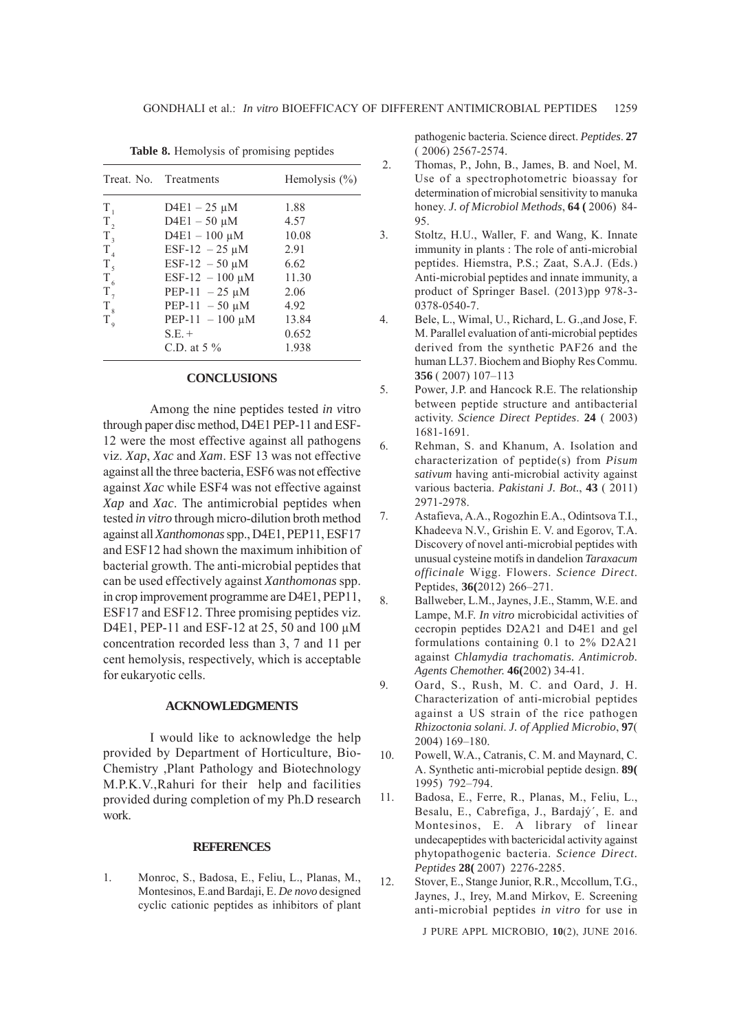|                | Treat. No. Treatments | Hemolysis $(\% )$ |
|----------------|-----------------------|-------------------|
| $T_{1}$        | $D4E1 - 25 \mu M$     | 1.88              |
| $T_{2}$        | $D4E1 - 50 \mu M$     | 4.57              |
| $T_{3}$        | $D4E1 - 100 \mu M$    | 10.08             |
| $T_{4}$        | ESF-12 $-25 \mu M$    | 2.91              |
| T <sub>5</sub> | ESF-12 $-50 \mu M$    | 6.62              |
| $T_{6}$        | ESF-12 $-100 \mu M$   | 11.30             |
| $T_{7}$        | PEP-11 $-25 \mu M$    | 2.06              |
| $T_{8}$        | PEP-11 $-50 \mu M$    | 4.92              |
| $T_{\rm q}$    | PEP-11 $-100 \mu M$   | 13.84             |
|                | $S.E. +$              | 0.652             |
|                | C.D. at $5\%$         | 1.938             |

**Table 8.** Hemolysis of promising peptides

#### **CONCLUSIONS**

Among the nine peptides tested *in v*itro through paper disc method, D4E1 PEP-11 and ESF-12 were the most effective against all pathogens viz. *Xap*, *Xac* and *Xam*. ESF 13 was not effective against all the three bacteria, ESF6 was not effective against *Xac* while ESF4 was not effective against *Xap* and *Xac*. The antimicrobial peptides when tested *in vitro* through micro-dilution broth method against all *Xanthomonas* spp., D4E1, PEP11, ESF17 and ESF12 had shown the maximum inhibition of bacterial growth. The anti-microbial peptides that can be used effectively against *Xanthomonas* spp. in crop improvement programme are D4E1, PEP11, ESF17 and ESF12. Three promising peptides viz. D4E1, PEP-11 and ESF-12 at 25, 50 and 100 μM concentration recorded less than 3, 7 and 11 per cent hemolysis, respectively, which is acceptable for eukaryotic cells.

#### **ACKNOWLEDGMENTS**

I would like to acknowledge the help provided by Department of Horticulture, Bio-Chemistry ,Plant Pathology and Biotechnology M.P.K.V.,Rahuri for their help and facilities provided during completion of my Ph.D research work.

#### **REFERENCES**

1. Monroc, S., Badosa, E., Feliu, L., Planas, M., Montesinos, E.and Bardaji, E. *De novo* designed cyclic cationic peptides as inhibitors of plant pathogenic bacteria. Science direct. *Peptides*. **27** ( 2006) 2567-2574.

- 2. Thomas, P., John, B., James, B. and Noel, M. Use of a spectrophotometric bioassay for determination of microbial sensitivity to manuka honey. *J. of Microbiol Methods*, **64 (** 2006) 84- 95.
- 3. Stoltz, H.U., Waller, F. and Wang, K. Innate immunity in plants : The role of anti-microbial peptides. Hiemstra, P.S.; Zaat, S.A.J. (Eds.) Anti-microbial peptides and innate immunity, a product of Springer Basel. (2013)pp 978-3- 0378-0540-7.
- 4. Bele, L., Wimal, U., Richard, L. G.,and Jose, F. M. Parallel evaluation of anti-microbial peptides derived from the synthetic PAF26 and the human LL37. Biochem and Biophy Res Commu. **356** ( 2007) 107–113
- 5. Power, J.P. and Hancock R.E. The relationship between peptide structure and antibacterial activity. *Science Direct Peptides*. **24** ( 2003) 1681-1691.
- 6. Rehman, S. and Khanum, A. Isolation and characterization of peptide(s) from *Pisum sativum* having anti-microbial activity against various bacteria. *Pakistani J. Bot.*, **43** ( 2011) 2971-2978.
- 7. Astafieva, A.A., Rogozhin E.A., Odintsova T.I., Khadeeva N.V., Grishin E. V. and Egorov, T.A. Discovery of novel anti-microbial peptides with unusual cysteine motifs in dandelion *Taraxacum officinale* Wigg. Flowers. *Science Direct*. Peptides, **36(**2012) 266–271.
- 8. Ballweber, L.M., Jaynes, J.E., Stamm, W.E. and Lampe, M.F. *In vitro* microbicidal activities of cecropin peptides D2A21 and D4E1 and gel formulations containing 0.1 to 2% D2A21 against *Chlamydia trachomatis. Antimicrob. Agents Chemother.* **46(**2002) 34-41.
- 9. Oard, S., Rush, M. C. and Oard, J. H. Characterization of anti-microbial peptides against a US strain of the rice pathogen *Rhizoctonia solani*. *J. of Applied Microbio*, **97**( 2004) 169–180.
- 10. Powell, W.A., Catranis, C. M. and Maynard, C. A. Synthetic anti-microbial peptide design. **89(** 1995) 792–794.
- 11. Badosa, E., Ferre, R., Planas, M., Feliu, L., Besalu, E., Cabrefiga, J., Bardajý´, E. and Montesinos, E. A library of linear undecapeptides with bactericidal activity against phytopathogenic bacteria. *Science Direct. Peptides* **28(** 2007) 2276-2285.
- 12. Stover, E., Stange Junior, R.R., Mccollum, T.G., Jaynes, J., Irey, M.and Mirkov, E. Screening anti-microbial peptides *in vitro* for use in